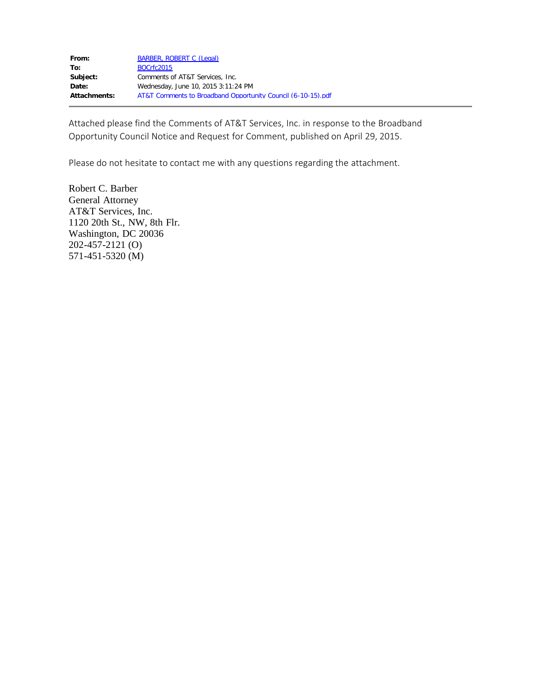Attached please find the Comments of AT&T Services, Inc. in response to the Broadband Opportunity Council Notice and Request for Comment, published on April 29, 2015.

Please do not hesitate to contact me with any questions regarding the attachment.

Robert C. Barber General Attorney AT&T Services, Inc. 1120 20th St., NW, 8th Flr. Washington, DC 20036 202-457-2121 (O) 571-451-5320 (M)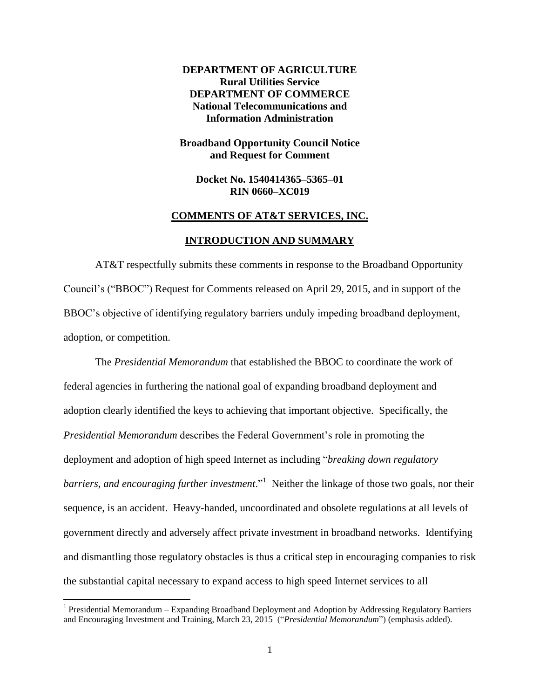**DEPARTMENT OF AGRICULTURE Rural Utilities Service DEPARTMENT OF COMMERCE National Telecommunications and Information Administration**

**Broadband Opportunity Council Notice and Request for Comment**

**Docket No. 1540414365–5365–01 RIN 0660–XC019**

#### **COMMENTS OF AT&T SERVICES, INC.**

### **INTRODUCTION AND SUMMARY**

AT&T respectfully submits these comments in response to the Broadband Opportunity Council's ("BBOC") Request for Comments released on April 29, 2015, and in support of the BBOC's objective of identifying regulatory barriers unduly impeding broadband deployment, adoption, or competition.

The *Presidential Memorandum* that established the BBOC to coordinate the work of federal agencies in furthering the national goal of expanding broadband deployment and adoption clearly identified the keys to achieving that important objective. Specifically, the *Presidential Memorandum* describes the Federal Government's role in promoting the deployment and adoption of high speed Internet as including "*breaking down regulatory*  barriers, and encouraging further investment."<sup>1</sup> Neither the linkage of those two goals, nor their sequence, is an accident. Heavy-handed, uncoordinated and obsolete regulations at all levels of government directly and adversely affect private investment in broadband networks. Identifying and dismantling those regulatory obstacles is thus a critical step in encouraging companies to risk the substantial capital necessary to expand access to high speed Internet services to all

<sup>&</sup>lt;sup>1</sup> Presidential Memorandum – Expanding Broadband Deployment and Adoption by Addressing Regulatory Barriers and Encouraging Investment and Training, March 23, 2015 ("*Presidential Memorandum*") (emphasis added).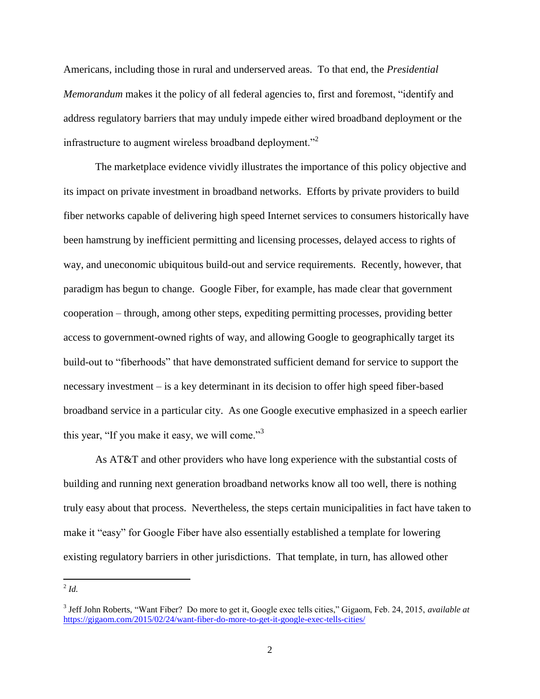Americans, including those in rural and underserved areas. To that end, the *Presidential Memorandum* makes it the policy of all federal agencies to, first and foremost, "identify and address regulatory barriers that may unduly impede either wired broadband deployment or the infrastructure to augment wireless broadband deployment."<sup>2</sup>

The marketplace evidence vividly illustrates the importance of this policy objective and its impact on private investment in broadband networks. Efforts by private providers to build fiber networks capable of delivering high speed Internet services to consumers historically have been hamstrung by inefficient permitting and licensing processes, delayed access to rights of way, and uneconomic ubiquitous build-out and service requirements. Recently, however, that paradigm has begun to change. Google Fiber, for example, has made clear that government cooperation – through, among other steps, expediting permitting processes, providing better access to government-owned rights of way, and allowing Google to geographically target its build-out to "fiberhoods" that have demonstrated sufficient demand for service to support the necessary investment – is a key determinant in its decision to offer high speed fiber-based broadband service in a particular city. As one Google executive emphasized in a speech earlier this year, "If you make it easy, we will come."<sup>3</sup>

As AT&T and other providers who have long experience with the substantial costs of building and running next generation broadband networks know all too well, there is nothing truly easy about that process. Nevertheless, the steps certain municipalities in fact have taken to make it "easy" for Google Fiber have also essentially established a template for lowering existing regulatory barriers in other jurisdictions. That template, in turn, has allowed other

 $\frac{2}{d}$ *Id.* 

<sup>3</sup> Jeff John Roberts, "Want Fiber? Do more to get it, Google exec tells cities," Gigaom, Feb. 24, 2015, *available at* <https://gigaom.com/2015/02/24/want-fiber-do-more-to-get-it-google-exec-tells-cities/>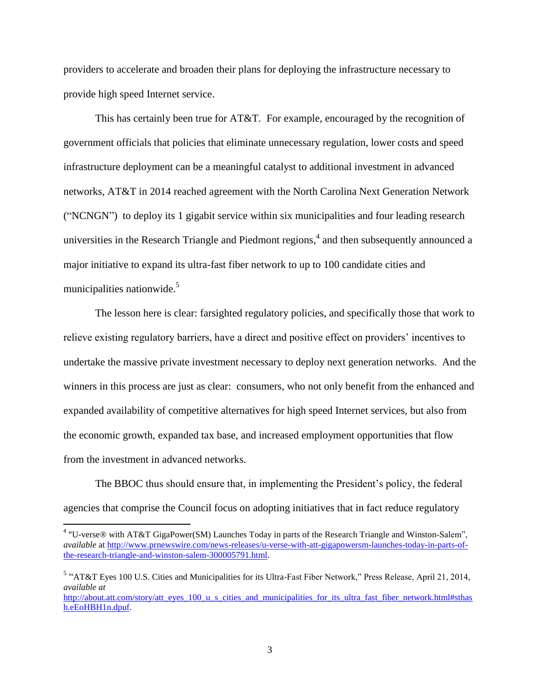providers to accelerate and broaden their plans for deploying the infrastructure necessary to provide high speed Internet service.

This has certainly been true for AT&T. For example, encouraged by the recognition of government officials that policies that eliminate unnecessary regulation, lower costs and speed infrastructure deployment can be a meaningful catalyst to additional investment in advanced networks, AT&T in 2014 reached agreement with the North Carolina Next Generation Network ("NCNGN") to deploy its 1 gigabit service within six municipalities and four leading research universities in the Research Triangle and Piedmont regions, 4 and then subsequently announced a major initiative to expand its ultra-fast fiber network to up to 100 candidate cities and municipalities nationwide.<sup>5</sup>

The lesson here is clear: farsighted regulatory policies, and specifically those that work to relieve existing regulatory barriers, have a direct and positive effect on providers' incentives to undertake the massive private investment necessary to deploy next generation networks. And the winners in this process are just as clear: consumers, who not only benefit from the enhanced and expanded availability of competitive alternatives for high speed Internet services, but also from the economic growth, expanded tax base, and increased employment opportunities that flow from the investment in advanced networks.

The BBOC thus should ensure that, in implementing the President's policy, the federal agencies that comprise the Council focus on adopting initiatives that in fact reduce regulatory

<sup>&</sup>lt;sup>4</sup> "U-verse® with AT&T GigaPower(SM) Launches Today in parts of the Research Triangle and Winston-Salem", *available* at [http://www.prnewswire.com/news-releases/u-verse-with-att-gigapowersm-launches-today-in-parts-of](http://www.prnewswire.com/news-releases/u-verse-with-att-gigapowersm-launches-today-in-parts-of-the-research-triangle-and-winston-salem-300005791.html)[the-research-triangle-and-winston-salem-300005791.html.](http://www.prnewswire.com/news-releases/u-verse-with-att-gigapowersm-launches-today-in-parts-of-the-research-triangle-and-winston-salem-300005791.html) 

<sup>&</sup>lt;sup>5</sup> "AT&T Eyes 100 U.S. Cities and Municipalities for its Ultra-Fast Fiber Network," Press Release, April 21, 2014, *available at*

[http://about.att.com/story/att\\_eyes\\_100\\_u\\_s\\_cities\\_and\\_municipalities\\_for\\_its\\_ultra\\_fast\\_fiber\\_network.html#sthas](http://about.att.com/story/att_eyes_100_u_s_cities_and_municipalities_for_its_ultra_fast_fiber_network.html#sthash.eEoHBH1n.dpuf) [h.eEoHBH1n.dpuf.](http://about.att.com/story/att_eyes_100_u_s_cities_and_municipalities_for_its_ultra_fast_fiber_network.html#sthash.eEoHBH1n.dpuf)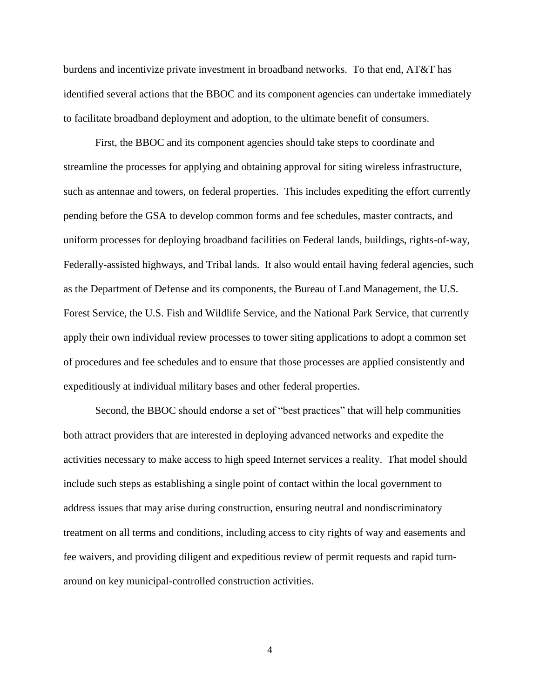burdens and incentivize private investment in broadband networks. To that end, AT&T has identified several actions that the BBOC and its component agencies can undertake immediately to facilitate broadband deployment and adoption, to the ultimate benefit of consumers.

First, the BBOC and its component agencies should take steps to coordinate and streamline the processes for applying and obtaining approval for siting wireless infrastructure, such as antennae and towers, on federal properties. This includes expediting the effort currently pending before the GSA to develop common forms and fee schedules, master contracts, and uniform processes for deploying broadband facilities on Federal lands, buildings, rights-of-way, Federally-assisted highways, and Tribal lands. It also would entail having federal agencies, such as the Department of Defense and its components, the Bureau of Land Management, the U.S. Forest Service, the U.S. Fish and Wildlife Service, and the National Park Service, that currently apply their own individual review processes to tower siting applications to adopt a common set of procedures and fee schedules and to ensure that those processes are applied consistently and expeditiously at individual military bases and other federal properties.

Second, the BBOC should endorse a set of "best practices" that will help communities both attract providers that are interested in deploying advanced networks and expedite the activities necessary to make access to high speed Internet services a reality. That model should include such steps as establishing a single point of contact within the local government to address issues that may arise during construction, ensuring neutral and nondiscriminatory treatment on all terms and conditions, including access to city rights of way and easements and fee waivers, and providing diligent and expeditious review of permit requests and rapid turnaround on key municipal-controlled construction activities.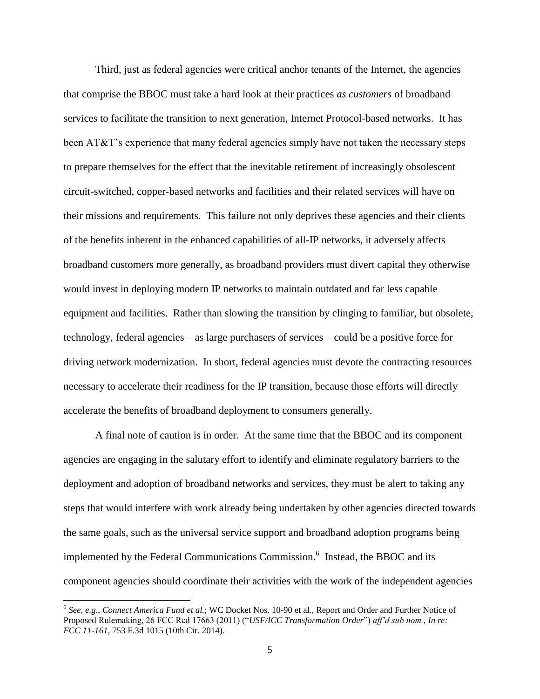Third, just as federal agencies were critical anchor tenants of the Internet, the agencies that comprise the BBOC must take a hard look at their practices *as customers* of broadband services to facilitate the transition to next generation, Internet Protocol-based networks. It has been AT&T's experience that many federal agencies simply have not taken the necessary steps to prepare themselves for the effect that the inevitable retirement of increasingly obsolescent circuit-switched, copper-based networks and facilities and their related services will have on their missions and requirements. This failure not only deprives these agencies and their clients of the benefits inherent in the enhanced capabilities of all-IP networks, it adversely affects broadband customers more generally, as broadband providers must divert capital they otherwise would invest in deploying modern IP networks to maintain outdated and far less capable equipment and facilities. Rather than slowing the transition by clinging to familiar, but obsolete, technology, federal agencies – as large purchasers of services – could be a positive force for driving network modernization. In short, federal agencies must devote the contracting resources necessary to accelerate their readiness for the IP transition, because those efforts will directly accelerate the benefits of broadband deployment to consumers generally.

A final note of caution is in order. At the same time that the BBOC and its component agencies are engaging in the salutary effort to identify and eliminate regulatory barriers to the deployment and adoption of broadband networks and services, they must be alert to taking any steps that would interfere with work already being undertaken by other agencies directed towards the same goals, such as the universal service support and broadband adoption programs being implemented by the Federal Communications Commission.<sup>6</sup> Instead, the BBOC and its component agencies should coordinate their activities with the work of the independent agencies

<sup>6</sup> *See, e.g., Connect America Fund et al.*; WC Docket Nos. 10-90 et al., Report and Order and Further Notice of Proposed Rulemaking, 26 FCC Rcd 17663 (2011) ("*USF/ICC Transformation Order*") *aff'd sub nom.*, *In re: FCC 11-161*, 753 F.3d 1015 (10th Cir. 2014).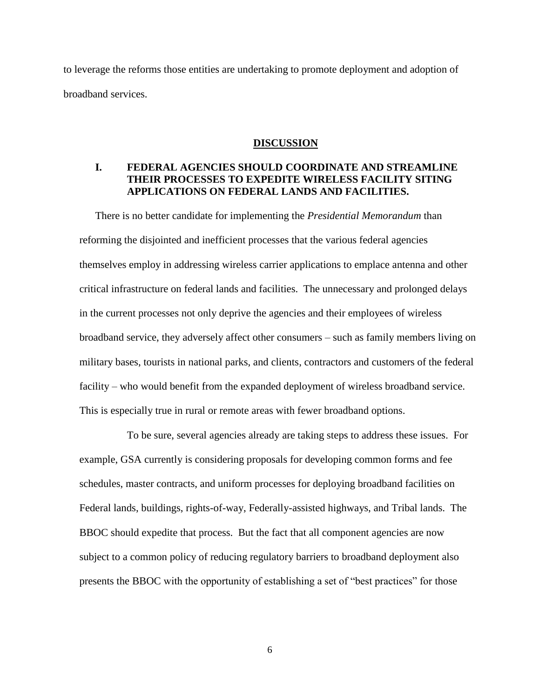to leverage the reforms those entities are undertaking to promote deployment and adoption of broadband services.

#### **DISCUSSION**

# **I. FEDERAL AGENCIES SHOULD COORDINATE AND STREAMLINE THEIR PROCESSES TO EXPEDITE WIRELESS FACILITY SITING APPLICATIONS ON FEDERAL LANDS AND FACILITIES.**

There is no better candidate for implementing the *Presidential Memorandum* than reforming the disjointed and inefficient processes that the various federal agencies themselves employ in addressing wireless carrier applications to emplace antenna and other critical infrastructure on federal lands and facilities. The unnecessary and prolonged delays in the current processes not only deprive the agencies and their employees of wireless broadband service, they adversely affect other consumers – such as family members living on military bases, tourists in national parks, and clients, contractors and customers of the federal facility – who would benefit from the expanded deployment of wireless broadband service. This is especially true in rural or remote areas with fewer broadband options.

To be sure, several agencies already are taking steps to address these issues. For example, GSA currently is considering proposals for developing common forms and fee schedules, master contracts, and uniform processes for deploying broadband facilities on Federal lands, buildings, rights-of-way, Federally-assisted highways, and Tribal lands. The BBOC should expedite that process. But the fact that all component agencies are now subject to a common policy of reducing regulatory barriers to broadband deployment also presents the BBOC with the opportunity of establishing a set of "best practices" for those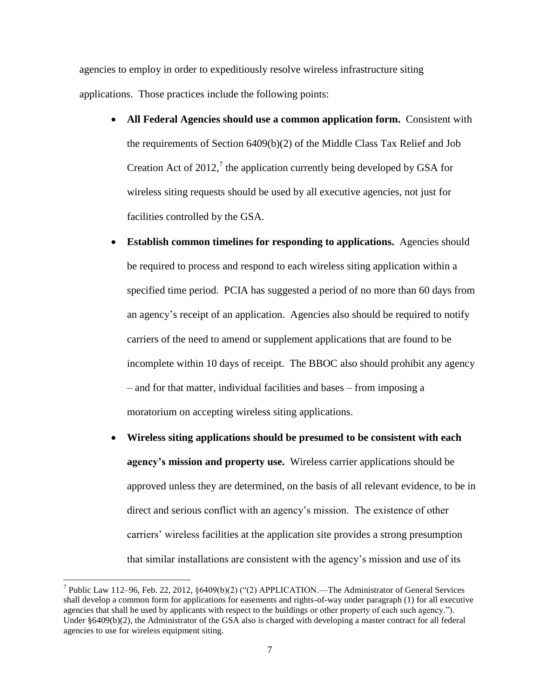agencies to employ in order to expeditiously resolve wireless infrastructure siting applications. Those practices include the following points:

- **All Federal Agencies should use a common application form.** Consistent with the requirements of Section 6409(b)(2) of the Middle Class Tax Relief and Job Creation Act of 2012, $^7$  the application currently being developed by GSA for wireless siting requests should be used by all executive agencies, not just for facilities controlled by the GSA.
- **Establish common timelines for responding to applications.** Agencies should be required to process and respond to each wireless siting application within a specified time period. PCIA has suggested a period of no more than 60 days from an agency's receipt of an application. Agencies also should be required to notify carriers of the need to amend or supplement applications that are found to be incomplete within 10 days of receipt. The BBOC also should prohibit any agency – and for that matter, individual facilities and bases – from imposing a moratorium on accepting wireless siting applications.
- **Wireless siting applications should be presumed to be consistent with each agency's mission and property use.** Wireless carrier applications should be approved unless they are determined, on the basis of all relevant evidence, to be in direct and serious conflict with an agency's mission. The existence of other carriers' wireless facilities at the application site provides a strong presumption that similar installations are consistent with the agency's mission and use of its

 $\overline{a}$ 

<sup>&</sup>lt;sup>7</sup> Public Law 112–96, Feb. 22, 2012,  $\S 6409(b)(2)$  ("(2) APPLICATION.—The Administrator of General Services shall develop a common form for applications for easements and rights-of-way under paragraph (1) for all executive agencies that shall be used by applicants with respect to the buildings or other property of each such agency."). Under §6409(b)(2), the Administrator of the GSA also is charged with developing a master contract for all federal agencies to use for wireless equipment siting.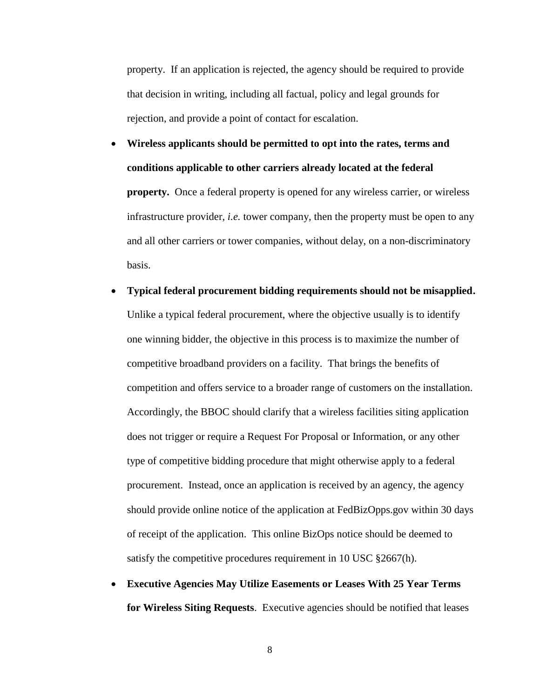property. If an application is rejected, the agency should be required to provide that decision in writing, including all factual, policy and legal grounds for rejection, and provide a point of contact for escalation.

- **Wireless applicants should be permitted to opt into the rates, terms and conditions applicable to other carriers already located at the federal property.** Once a federal property is opened for any wireless carrier, or wireless infrastructure provider, *i.e.* tower company, then the property must be open to any and all other carriers or tower companies, without delay, on a non-discriminatory basis.
- **Typical federal procurement bidding requirements should not be misapplied.**  Unlike a typical federal procurement, where the objective usually is to identify one winning bidder, the objective in this process is to maximize the number of competitive broadband providers on a facility. That brings the benefits of competition and offers service to a broader range of customers on the installation. Accordingly, the BBOC should clarify that a wireless facilities siting application does not trigger or require a Request For Proposal or Information, or any other type of competitive bidding procedure that might otherwise apply to a federal procurement.Instead, once an application is received by an agency, the agency should provide online notice of the application at FedBizOpps.gov within 30 days of receipt of the application. This online BizOps notice should be deemed to satisfy the competitive procedures requirement in 10 USC §2667(h).
- **Executive Agencies May Utilize Easements or Leases With 25 Year Terms for Wireless Siting Requests**. Executive agencies should be notified that leases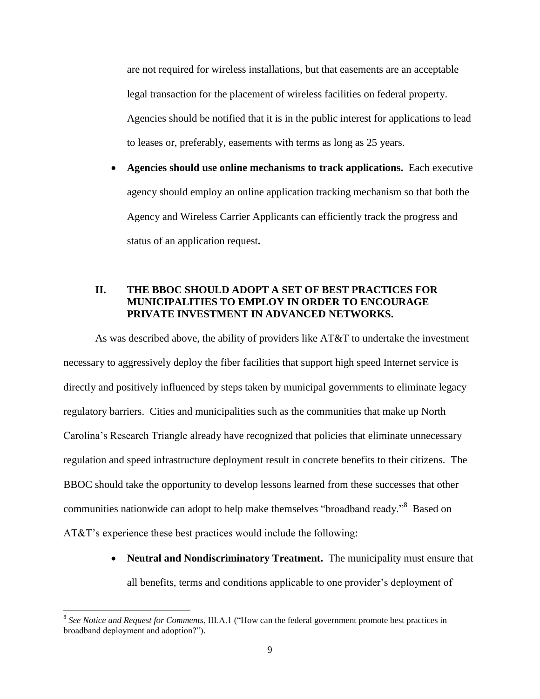are not required for wireless installations, but that easements are an acceptable legal transaction for the placement of wireless facilities on federal property. Agencies should be notified that it is in the public interest for applications to lead to leases or, preferably, easements with terms as long as 25 years.

 **Agencies should use online mechanisms to track applications.** Each executive agency should employ an online application tracking mechanism so that both the Agency and Wireless Carrier Applicants can efficiently track the progress and status of an application request**.** 

## **II. THE BBOC SHOULD ADOPT A SET OF BEST PRACTICES FOR MUNICIPALITIES TO EMPLOY IN ORDER TO ENCOURAGE PRIVATE INVESTMENT IN ADVANCED NETWORKS.**

As was described above, the ability of providers like AT&T to undertake the investment necessary to aggressively deploy the fiber facilities that support high speed Internet service is directly and positively influenced by steps taken by municipal governments to eliminate legacy regulatory barriers. Cities and municipalities such as the communities that make up North Carolina's Research Triangle already have recognized that policies that eliminate unnecessary regulation and speed infrastructure deployment result in concrete benefits to their citizens. The BBOC should take the opportunity to develop lessons learned from these successes that other communities nationwide can adopt to help make themselves "broadband ready."<sup>8</sup> Based on AT&T's experience these best practices would include the following:

> • **Neutral and Nondiscriminatory Treatment.** The municipality must ensure that all benefits, terms and conditions applicable to one provider's deployment of

<sup>8</sup> *See Notice and Request for Comments*, III.A.1 ("How can the federal government promote best practices in broadband deployment and adoption?").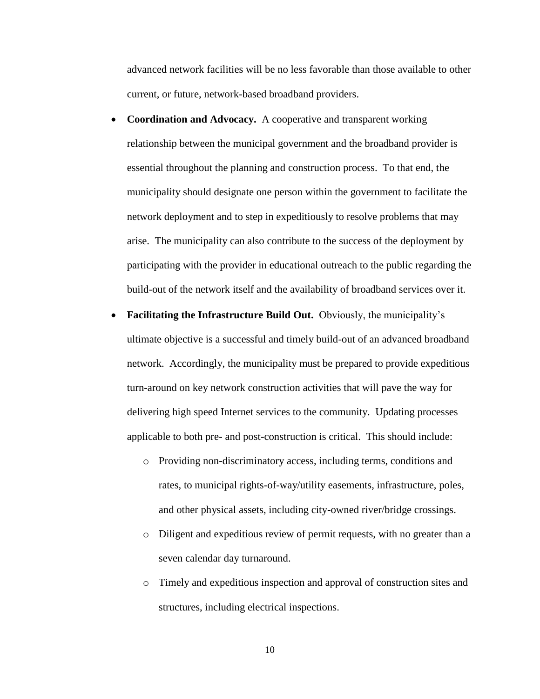advanced network facilities will be no less favorable than those available to other current, or future, network-based broadband providers.

- **Coordination and Advocacy.** A cooperative and transparent working relationship between the municipal government and the broadband provider is essential throughout the planning and construction process. To that end, the municipality should designate one person within the government to facilitate the network deployment and to step in expeditiously to resolve problems that may arise. The municipality can also contribute to the success of the deployment by participating with the provider in educational outreach to the public regarding the build-out of the network itself and the availability of broadband services over it.
- **Facilitating the Infrastructure Build Out.** Obviously, the municipality's ultimate objective is a successful and timely build-out of an advanced broadband network. Accordingly, the municipality must be prepared to provide expeditious turn-around on key network construction activities that will pave the way for delivering high speed Internet services to the community. Updating processes applicable to both pre- and post-construction is critical. This should include:
	- o Providing non-discriminatory access, including terms, conditions and rates, to municipal rights-of-way/utility easements, infrastructure, poles, and other physical assets, including city-owned river/bridge crossings.
	- o Diligent and expeditious review of permit requests, with no greater than a seven calendar day turnaround.
	- o Timely and expeditious inspection and approval of construction sites and structures, including electrical inspections.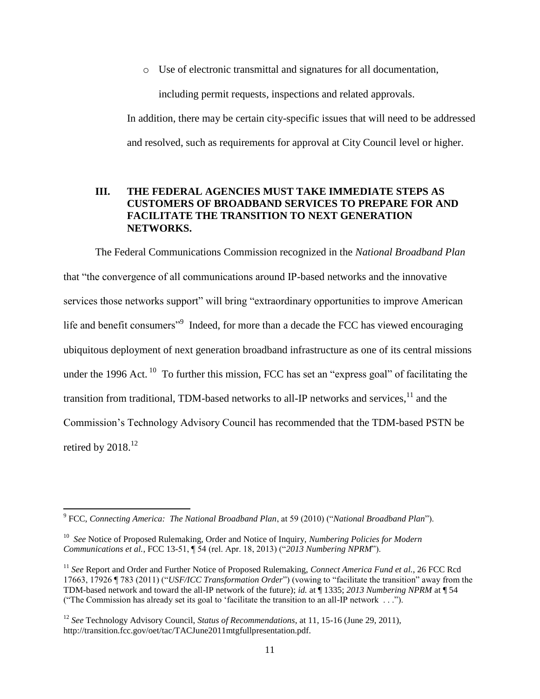o Use of electronic transmittal and signatures for all documentation,

including permit requests, inspections and related approvals.

In addition, there may be certain city-specific issues that will need to be addressed and resolved, such as requirements for approval at City Council level or higher.

## **III. THE FEDERAL AGENCIES MUST TAKE IMMEDIATE STEPS AS CUSTOMERS OF BROADBAND SERVICES TO PREPARE FOR AND FACILITATE THE TRANSITION TO NEXT GENERATION NETWORKS.**

The Federal Communications Commission recognized in the *National Broadband Plan* that "the convergence of all communications around IP-based networks and the innovative services those networks support" will bring "extraordinary opportunities to improve American life and benefit consumers<sup>"9</sup> Indeed, for more than a decade the FCC has viewed encouraging ubiquitous deployment of next generation broadband infrastructure as one of its central missions under the 1996 Act.<sup>10</sup> To further this mission, FCC has set an "express goal" of facilitating the transition from traditional, TDM-based networks to all-IP networks and services. $11$  and the Commission's Technology Advisory Council has recommended that the TDM-based PSTN be retired by  $2018.<sup>12</sup>$ 

 9 FCC, *Connecting America: The National Broadband Plan*, at 59 (2010) ("*National Broadband Plan*").

<sup>10</sup> *See* Notice of Proposed Rulemaking, Order and Notice of Inquiry, *Numbering Policies for Modern Communications et al.*, FCC 13-51, ¶ 54 (rel. Apr. 18, 2013) ("*2013 Numbering NPRM*").

<sup>11</sup> *See* Report and Order and Further Notice of Proposed Rulemaking, *Connect America Fund et al.*, 26 FCC Rcd 17663, 17926 ¶ 783 (2011) ("*USF/ICC Transformation Order*") (vowing to "facilitate the transition" away from the TDM-based network and toward the all-IP network of the future); *id.* at ¶ 1335; *2013 Numbering NPRM* at ¶ 54 ("The Commission has already set its goal to 'facilitate the transition to an all-IP network . . .").

<sup>12</sup> *See* Technology Advisory Council, *Status of Recommendations*, at 11, 15-16 (June 29, 2011), http://transition.fcc.gov/oet/tac/TACJune2011mtgfullpresentation.pdf.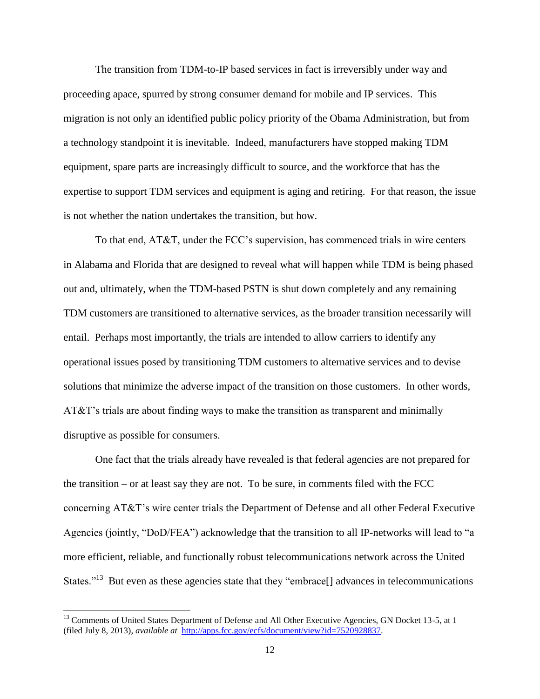The transition from TDM-to-IP based services in fact is irreversibly under way and proceeding apace, spurred by strong consumer demand for mobile and IP services. This migration is not only an identified public policy priority of the Obama Administration, but from a technology standpoint it is inevitable. Indeed, manufacturers have stopped making TDM equipment, spare parts are increasingly difficult to source, and the workforce that has the expertise to support TDM services and equipment is aging and retiring. For that reason, the issue is not whether the nation undertakes the transition, but how.

To that end, AT&T, under the FCC's supervision, has commenced trials in wire centers in Alabama and Florida that are designed to reveal what will happen while TDM is being phased out and, ultimately, when the TDM-based PSTN is shut down completely and any remaining TDM customers are transitioned to alternative services, as the broader transition necessarily will entail. Perhaps most importantly, the trials are intended to allow carriers to identify any operational issues posed by transitioning TDM customers to alternative services and to devise solutions that minimize the adverse impact of the transition on those customers. In other words, AT&T's trials are about finding ways to make the transition as transparent and minimally disruptive as possible for consumers.

One fact that the trials already have revealed is that federal agencies are not prepared for the transition – or at least say they are not. To be sure, in comments filed with the FCC concerning AT&T's wire center trials the Department of Defense and all other Federal Executive Agencies (jointly, "DoD/FEA") acknowledge that the transition to all IP-networks will lead to "a more efficient, reliable, and functionally robust telecommunications network across the United States."<sup>13</sup> But even as these agencies state that they "embrace<sup>[]</sup> advances in telecommunications

<sup>&</sup>lt;sup>13</sup> Comments of United States Department of Defense and All Other Executive Agencies, GN Docket 13-5, at 1 (filed July 8, 2013), *available at* [http://apps.fcc.gov/ecfs/document/view?id=7520928837.](http://apps.fcc.gov/ecfs/document/view?id=7520928837)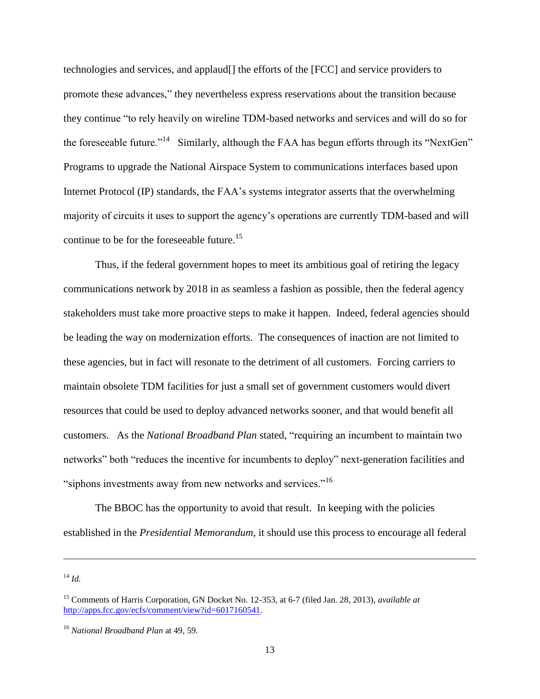technologies and services, and applaud[] the efforts of the [FCC] and service providers to promote these advances," they nevertheless express reservations about the transition because they continue "to rely heavily on wireline TDM-based networks and services and will do so for the foreseeable future."<sup>14</sup> Similarly, although the FAA has begun efforts through its "NextGen" Programs to upgrade the National Airspace System to communications interfaces based upon Internet Protocol (IP) standards, the FAA's systems integrator asserts that the overwhelming majority of circuits it uses to support the agency's operations are currently TDM-based and will continue to be for the foreseeable future.<sup>15</sup>

Thus, if the federal government hopes to meet its ambitious goal of retiring the legacy communications network by 2018 in as seamless a fashion as possible, then the federal agency stakeholders must take more proactive steps to make it happen. Indeed, federal agencies should be leading the way on modernization efforts. The consequences of inaction are not limited to these agencies, but in fact will resonate to the detriment of all customers. Forcing carriers to maintain obsolete TDM facilities for just a small set of government customers would divert resources that could be used to deploy advanced networks sooner, and that would benefit all customers. As the *National Broadband Plan* stated, "requiring an incumbent to maintain two networks" both "reduces the incentive for incumbents to deploy" next-generation facilities and "siphons investments away from new networks and services."<sup>16</sup>

The BBOC has the opportunity to avoid that result. In keeping with the policies established in the *Presidential Memorandum*, it should use this process to encourage all federal

<sup>14</sup> *Id.*

<sup>15</sup> Comments of Harris Corporation, GN Docket No. 12-353, at 6-7 (filed Jan. 28, 2013), *available at* [http://apps.fcc.gov/ecfs/comment/view?id=6017160541.](http://apps.fcc.gov/ecfs/comment/view?id=6017160541)

<sup>16</sup> *National Broadband Plan* at 49, 59.